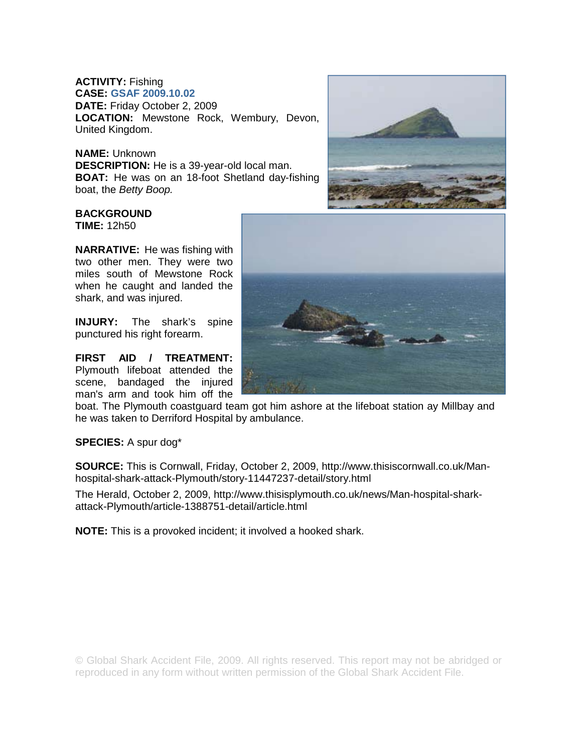## **ACTIVITY:** Fishing **CASE: GSAF 2009.10.02 DATE:** Friday October 2, 2009 **LOCATION:** Mewstone Rock, Wembury, Devon, United Kingdom.

## **NAME:** Unknown

**DESCRIPTION:** He is a 39-year-old local man. **BOAT:** He was on an 18-foot Shetland day-fishing boat, the *Betty Boop.* 

## **BACKGROUND**

**TIME:** 12h50

**NARRATIVE:** He was fishing with two other men. They were two miles south of Mewstone Rock when he caught and landed the shark, and was injured.

**INJURY:** The shark's spine punctured his right forearm.

**FIRST AID / TREATMENT:**  Plymouth lifeboat attended the scene, bandaged the injured man's arm and took him off the

boat. The Plymouth coastguard team got him ashore at the lifeboat station ay Millbay and he was taken to Derriford Hospital by ambulance.

**SPECIES:** A spur dog\*

**SOURCE:** This is Cornwall, Friday, October 2, 2009, http://www.thisiscornwall.co.uk/Manhospital-shark-attack-Plymouth/story-11447237-detail/story.html

The Herald, October 2, 2009, http://www.thisisplymouth.co.uk/news/Man-hospital-sharkattack-Plymouth/article-1388751-detail/article.html

**NOTE:** This is a provoked incident; it involved a hooked shark.

© Global Shark Accident File, 2009. All rights reserved. This report may not be abridged or reproduced in any form without written permission of the Global Shark Accident File.